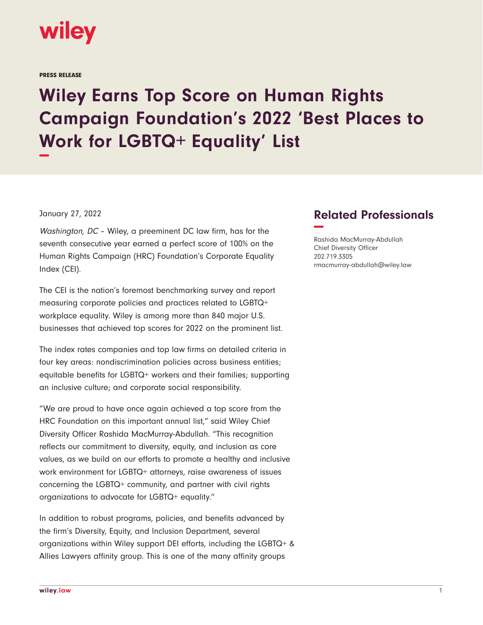

PRESS RELEASE

## **Wiley Earns Top Score on Human Rights Campaign Foundation's 2022 'Best Places to Work for LGBTQ+ Equality' List −**

## January 27, 2022

Washington, DC – Wiley, a preeminent DC law firm, has for the seventh consecutive year earned a perfect score of 100% on the Human Rights Campaign (HRC) Foundation's Corporate Equality Index (CEI).

The CEI is the nation's foremost benchmarking survey and report measuring corporate policies and practices related to LGBTQ+ workplace equality. Wiley is among more than 840 major U.S. businesses that achieved top scores for 2022 on the prominent list.

The index rates companies and top law firms on detailed criteria in four key areas: nondiscrimination policies across business entities; equitable benefits for LGBTQ+ workers and their families; supporting an inclusive culture; and corporate social responsibility.

"We are proud to have once again achieved a top score from the HRC Foundation on this important annual list," said Wiley Chief Diversity Officer Rashida MacMurray-Abdullah. "This recognition reflects our commitment to diversity, equity, and inclusion as core values, as we build on our efforts to promote a healthy and inclusive work environment for LGBTQ+ attorneys, raise awareness of issues concerning the LGBTQ+ community, and partner with civil rights organizations to advocate for LGBTQ+ equality."

In addition to robust programs, policies, and benefits advanced by the firm's Diversity, Equity, and Inclusion Department, several organizations within Wiley support DEI efforts, including the LGBTQ+ & Allies Lawyers affinity group. This is one of the many affinity groups

## **Related Professionals −**

Rashida MacMurray-Abdullah Chief Diversity Officer 202.719.3305 rmacmurray-abdullah@wiley.law